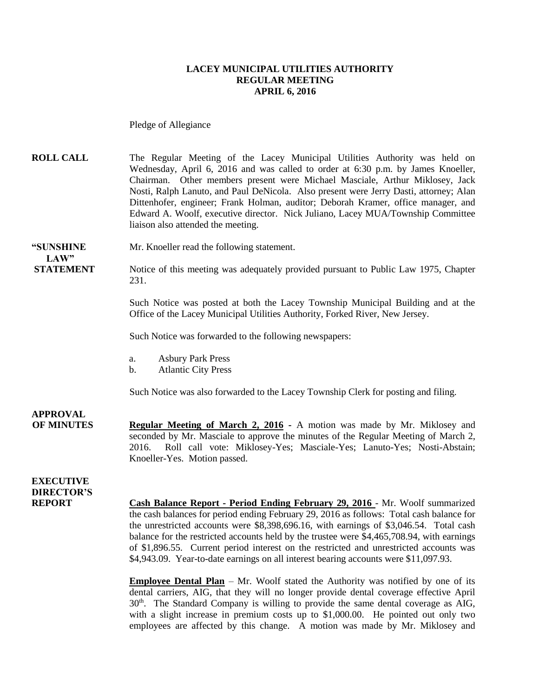#### **LACEY MUNICIPAL UTILITIES AUTHORITY REGULAR MEETING APRIL 6, 2016**

Pledge of Allegiance

**ROLL CALL** The Regular Meeting of the Lacey Municipal Utilities Authority was held on Wednesday, April 6, 2016 and was called to order at 6:30 p.m. by James Knoeller, Chairman. Other members present were Michael Masciale, Arthur Miklosey, Jack Nosti, Ralph Lanuto, and Paul DeNicola. Also present were Jerry Dasti, attorney; Alan Dittenhofer, engineer; Frank Holman, auditor; Deborah Kramer, office manager, and Edward A. Woolf, executive director. Nick Juliano, Lacey MUA/Township Committee liaison also attended the meeting.

**"SUNSHINE** Mr. Knoeller read the following statement. **LAW"** 

**STATEMENT** Notice of this meeting was adequately provided pursuant to Public Law 1975, Chapter 231.

> Such Notice was posted at both the Lacey Township Municipal Building and at the Office of the Lacey Municipal Utilities Authority, Forked River, New Jersey.

Such Notice was forwarded to the following newspapers:

- a. Asbury Park Press
- b. Atlantic City Press

Such Notice was also forwarded to the Lacey Township Clerk for posting and filing.

**APPROVAL**

**OF MINUTES Regular Meeting of March 2, 2016 -** A motion was made by Mr. Miklosey and seconded by Mr. Masciale to approve the minutes of the Regular Meeting of March 2, 2016. Roll call vote: Miklosey-Yes; Masciale-Yes; Lanuto-Yes; Nosti-Abstain; Knoeller-Yes. Motion passed.

### **EXECUTIVE DIRECTOR'S**

**REPORT Cash Balance Report - Period Ending February 29, 2016** - Mr. Woolf summarized the cash balances for period ending February 29, 2016 as follows: Total cash balance for the unrestricted accounts were \$8,398,696.16, with earnings of \$3,046.54. Total cash balance for the restricted accounts held by the trustee were \$4,465,708.94, with earnings of \$1,896.55. Current period interest on the restricted and unrestricted accounts was \$4,943.09. Year-to-date earnings on all interest bearing accounts were \$11,097.93.

> **Employee Dental Plan** – Mr. Woolf stated the Authority was notified by one of its dental carriers, AIG, that they will no longer provide dental coverage effective April 30<sup>th</sup>. The Standard Company is willing to provide the same dental coverage as AIG, with a slight increase in premium costs up to \$1,000.00. He pointed out only two employees are affected by this change. A motion was made by Mr. Miklosey and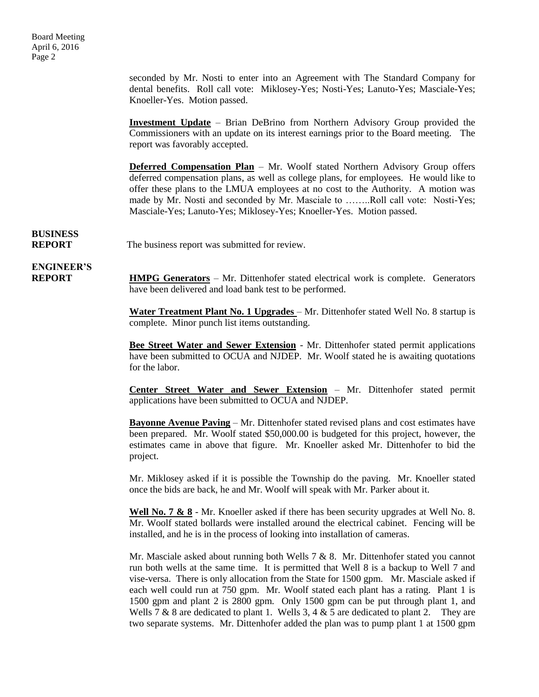seconded by Mr. Nosti to enter into an Agreement with The Standard Company for dental benefits. Roll call vote: Miklosey-Yes; Nosti-Yes; Lanuto-Yes; Masciale-Yes; Knoeller-Yes. Motion passed.

**Investment Update** – Brian DeBrino from Northern Advisory Group provided the Commissioners with an update on its interest earnings prior to the Board meeting. The report was favorably accepted.

**Deferred Compensation Plan** – Mr. Woolf stated Northern Advisory Group offers deferred compensation plans, as well as college plans, for employees. He would like to offer these plans to the LMUA employees at no cost to the Authority. A motion was made by Mr. Nosti and seconded by Mr. Masciale to ……..Roll call vote: Nosti-Yes; Masciale-Yes; Lanuto-Yes; Miklosey-Yes; Knoeller-Yes. Motion passed.

**BUSINESS**

**REPORT** The business report was submitted for review.

**ENGINEER'S**

**REPORT HMPG Generators** – Mr. Dittenhofer stated electrical work is complete. Generators have been delivered and load bank test to be performed.

> **Water Treatment Plant No. 1 Upgrades** – Mr. Dittenhofer stated Well No. 8 startup is complete. Minor punch list items outstanding.

> **Bee Street Water and Sewer Extension** - Mr. Dittenhofer stated permit applications have been submitted to OCUA and NJDEP. Mr. Woolf stated he is awaiting quotations for the labor.

> **Center Street Water and Sewer Extension** – Mr. Dittenhofer stated permit applications have been submitted to OCUA and NJDEP.

> **Bayonne Avenue Paving** – Mr. Dittenhofer stated revised plans and cost estimates have been prepared. Mr. Woolf stated \$50,000.00 is budgeted for this project, however, the estimates came in above that figure. Mr. Knoeller asked Mr. Dittenhofer to bid the project.

> Mr. Miklosey asked if it is possible the Township do the paving. Mr. Knoeller stated once the bids are back, he and Mr. Woolf will speak with Mr. Parker about it.

> **Well No. 7 & 8** - Mr. Knoeller asked if there has been security upgrades at Well No. 8. Mr. Woolf stated bollards were installed around the electrical cabinet. Fencing will be installed, and he is in the process of looking into installation of cameras.

> Mr. Masciale asked about running both Wells  $7 & 8$ . Mr. Dittenhofer stated you cannot run both wells at the same time. It is permitted that Well 8 is a backup to Well 7 and vise-versa. There is only allocation from the State for 1500 gpm. Mr. Masciale asked if each well could run at 750 gpm. Mr. Woolf stated each plant has a rating. Plant 1 is 1500 gpm and plant 2 is 2800 gpm. Only 1500 gpm can be put through plant 1, and Wells 7 & 8 are dedicated to plant 1. Wells 3, 4 & 5 are dedicated to plant 2. They are two separate systems. Mr. Dittenhofer added the plan was to pump plant 1 at 1500 gpm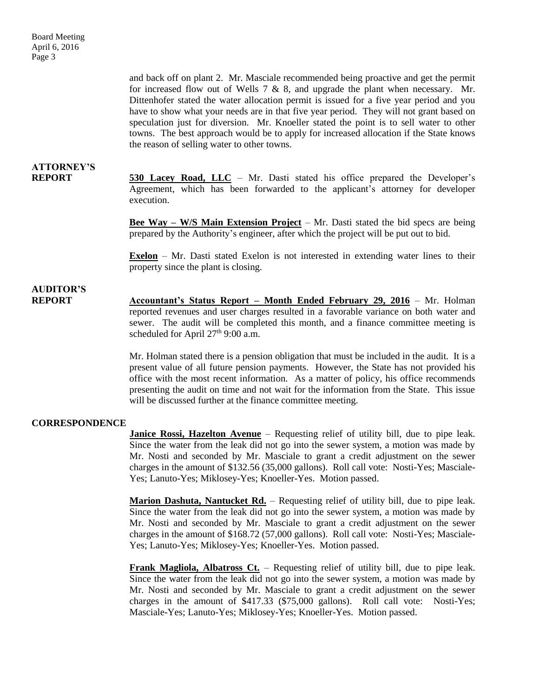and back off on plant 2. Mr. Masciale recommended being proactive and get the permit for increased flow out of Wells 7  $\&$  8, and upgrade the plant when necessary. Mr. Dittenhofer stated the water allocation permit is issued for a five year period and you have to show what your needs are in that five year period. They will not grant based on speculation just for diversion. Mr. Knoeller stated the point is to sell water to other towns. The best approach would be to apply for increased allocation if the State knows the reason of selling water to other towns.

# **ATTORNEY'S**

**REPORT 530 Lacey Road, LLC** – Mr. Dasti stated his office prepared the Developer's Agreement, which has been forwarded to the applicant's attorney for developer execution.

> **Bee Way – W/S Main Extension Project** – Mr. Dasti stated the bid specs are being prepared by the Authority's engineer, after which the project will be put out to bid.

> **Exelon** – Mr. Dasti stated Exelon is not interested in extending water lines to their property since the plant is closing.

# **AUDITOR'S**

**REPORT Accountant's Status Report – Month Ended February 29, 2016** – Mr. Holman reported revenues and user charges resulted in a favorable variance on both water and sewer. The audit will be completed this month, and a finance committee meeting is scheduled for April 27<sup>th</sup> 9:00 a.m.

> Mr. Holman stated there is a pension obligation that must be included in the audit. It is a present value of all future pension payments. However, the State has not provided his office with the most recent information. As a matter of policy, his office recommends presenting the audit on time and not wait for the information from the State. This issue will be discussed further at the finance committee meeting.

#### **CORRESPONDENCE**

**Janice Rossi, Hazelton Avenue** – Requesting relief of utility bill, due to pipe leak. Since the water from the leak did not go into the sewer system, a motion was made by Mr. Nosti and seconded by Mr. Masciale to grant a credit adjustment on the sewer charges in the amount of \$132.56 (35,000 gallons). Roll call vote: Nosti-Yes; Masciale-Yes; Lanuto-Yes; Miklosey-Yes; Knoeller-Yes. Motion passed.

**Marion Dashuta, Nantucket Rd.** – Requesting relief of utility bill, due to pipe leak. Since the water from the leak did not go into the sewer system, a motion was made by Mr. Nosti and seconded by Mr. Masciale to grant a credit adjustment on the sewer charges in the amount of \$168.72 (57,000 gallons). Roll call vote: Nosti-Yes; Masciale-Yes; Lanuto-Yes; Miklosey-Yes; Knoeller-Yes. Motion passed.

**Frank Magliola, Albatross Ct.** – Requesting relief of utility bill, due to pipe leak. Since the water from the leak did not go into the sewer system, a motion was made by Mr. Nosti and seconded by Mr. Masciale to grant a credit adjustment on the sewer charges in the amount of \$417.33 (\$75,000 gallons). Roll call vote: Nosti-Yes; Masciale-Yes; Lanuto-Yes; Miklosey-Yes; Knoeller-Yes. Motion passed.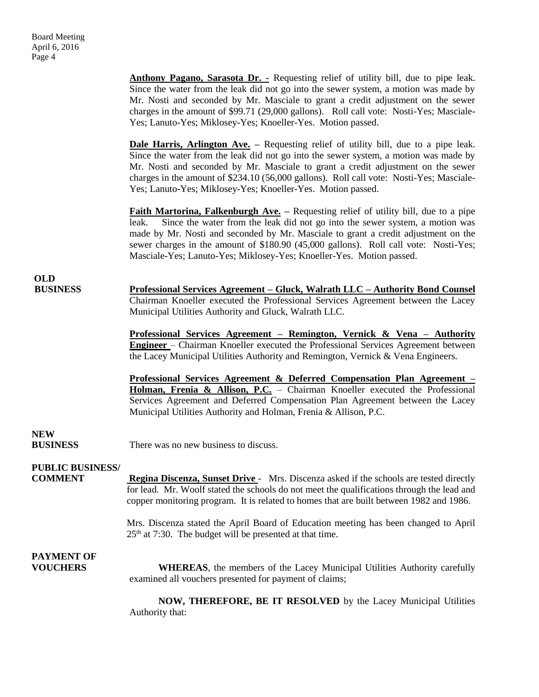**Anthony Pagano, Sarasota Dr. -** Requesting relief of utility bill, due to pipe leak. Since the water from the leak did not go into the sewer system, a motion was made by Mr. Nosti and seconded by Mr. Masciale to grant a credit adjustment on the sewer charges in the amount of \$99.71 (29,000 gallons). Roll call vote: Nosti-Yes; Masciale-Yes; Lanuto-Yes; Miklosey-Yes; Knoeller-Yes. Motion passed.

**Dale Harris, Arlington Ave. –** Requesting relief of utility bill, due to a pipe leak. Since the water from the leak did not go into the sewer system, a motion was made by Mr. Nosti and seconded by Mr. Masciale to grant a credit adjustment on the sewer charges in the amount of \$234.10 (56,000 gallons). Roll call vote: Nosti-Yes; Masciale-Yes; Lanuto-Yes; Miklosey-Yes; Knoeller-Yes. Motion passed.

**Faith Martorina, Falkenburgh Ave. –** Requesting relief of utility bill, due to a pipe leak. Since the water from the leak did not go into the sewer system, a motion was made by Mr. Nosti and seconded by Mr. Masciale to grant a credit adjustment on the sewer charges in the amount of \$180.90 (45,000 gallons). Roll call vote: Nosti-Yes; Masciale-Yes; Lanuto-Yes; Miklosey-Yes; Knoeller-Yes. Motion passed.

## **OLD**

**BUSINESS Professional Services Agreement – Gluck, Walrath LLC – Authority Bond Counsel** Chairman Knoeller executed the Professional Services Agreement between the Lacey Municipal Utilities Authority and Gluck, Walrath LLC.

> **Professional Services Agreement – Remington, Vernick & Vena – Authority Engineer** – Chairman Knoeller executed the Professional Services Agreement between the Lacey Municipal Utilities Authority and Remington, Vernick & Vena Engineers.

> **Professional Services Agreement & Deferred Compensation Plan Agreement – Holman, Frenia & Allison, P.C.** – Chairman Knoeller executed the Professional Services Agreement and Deferred Compensation Plan Agreement between the Lacey Municipal Utilities Authority and Holman, Frenia & Allison, P.C.

## **NEW**

**BUSINESS** There was no new business to discuss.

### **PUBLIC BUSINESS/**

**COMMENT Regina Discenza, Sunset Drive** - Mrs. Discenza asked if the schools are tested directly for lead. Mr. Woolf stated the schools do not meet the qualifications through the lead and copper monitoring program. It is related to homes that are built between 1982 and 1986.

> Mrs. Discenza stated the April Board of Education meeting has been changed to April  $25<sup>th</sup>$  at 7:30. The budget will be presented at that time.

# **PAYMENT OF**

**VOUCHERS WHEREAS**, the members of the Lacey Municipal Utilities Authority carefully examined all vouchers presented for payment of claims;

> **NOW, THEREFORE, BE IT RESOLVED** by the Lacey Municipal Utilities Authority that: